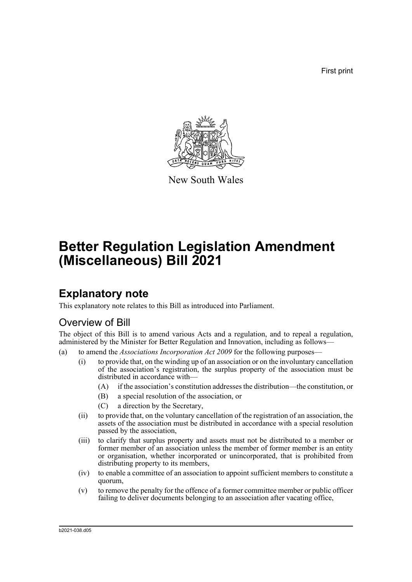First print



New South Wales

# **Better Regulation Legislation Amendment (Miscellaneous) Bill 2021**

## **Explanatory note**

This explanatory note relates to this Bill as introduced into Parliament.

## Overview of Bill

The object of this Bill is to amend various Acts and a regulation, and to repeal a regulation, administered by the Minister for Better Regulation and Innovation, including as follows—

- (a) to amend the *Associations Incorporation Act 2009* for the following purposes—
	- (i) to provide that, on the winding up of an association or on the involuntary cancellation of the association's registration, the surplus property of the association must be distributed in accordance with—
		- (A) if the association's constitution addresses the distribution—the constitution, or
		- (B) a special resolution of the association, or
		- (C) a direction by the Secretary,
	- (ii) to provide that, on the voluntary cancellation of the registration of an association, the assets of the association must be distributed in accordance with a special resolution passed by the association,
	- (iii) to clarify that surplus property and assets must not be distributed to a member or former member of an association unless the member of former member is an entity or organisation, whether incorporated or unincorporated, that is prohibited from distributing property to its members,
	- (iv) to enable a committee of an association to appoint sufficient members to constitute a quorum,
	- (v) to remove the penalty for the offence of a former committee member or public officer failing to deliver documents belonging to an association after vacating office,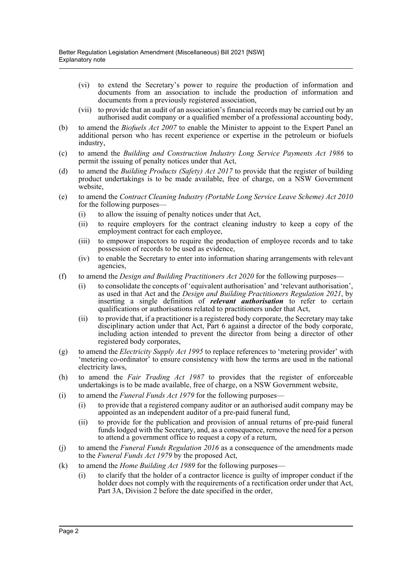- (vi) to extend the Secretary's power to require the production of information and documents from an association to include the production of information and documents from a previously registered association,
- (vii) to provide that an audit of an association's financial records may be carried out by an authorised audit company or a qualified member of a professional accounting body,
- (b) to amend the *Biofuels Act 2007* to enable the Minister to appoint to the Expert Panel an additional person who has recent experience or expertise in the petroleum or biofuels industry,
- (c) to amend the *Building and Construction Industry Long Service Payments Act 1986* to permit the issuing of penalty notices under that Act,
- (d) to amend the *Building Products (Safety) Act 2017* to provide that the register of building product undertakings is to be made available, free of charge, on a NSW Government website,
- (e) to amend the *Contract Cleaning Industry (Portable Long Service Leave Scheme) Act 2010* for the following purposes—
	- (i) to allow the issuing of penalty notices under that Act,
	- (ii) to require employers for the contract cleaning industry to keep a copy of the employment contract for each employee,
	- (iii) to empower inspectors to require the production of employee records and to take possession of records to be used as evidence,
	- (iv) to enable the Secretary to enter into information sharing arrangements with relevant agencies,
- (f) to amend the *Design and Building Practitioners Act 2020* for the following purposes—
	- (i) to consolidate the concepts of 'equivalent authorisation' and 'relevant authorisation', as used in that Act and the *Design and Building Practitioners Regulation 2021*, by inserting a single definition of *relevant authorisation* to refer to certain qualifications or authorisations related to practitioners under that Act,
	- (ii) to provide that, if a practitioner is a registered body corporate, the Secretary may take disciplinary action under that Act, Part 6 against a director of the body corporate, including action intended to prevent the director from being a director of other registered body corporates,
- (g) to amend the *Electricity Supply Act 1995* to replace references to 'metering provider' with 'metering co-ordinator' to ensure consistency with how the terms are used in the national electricity laws,
- (h) to amend the *Fair Trading Act 1987* to provides that the register of enforceable undertakings is to be made available, free of charge, on a NSW Government website,
- (i) to amend the *Funeral Funds Act 1979* for the following purposes—
	- (i) to provide that a registered company auditor or an authorised audit company may be appointed as an independent auditor of a pre-paid funeral fund,
	- (ii) to provide for the publication and provision of annual returns of pre-paid funeral funds lodged with the Secretary, and, as a consequence, remove the need for a person to attend a government office to request a copy of a return,
- (j) to amend the *Funeral Funds Regulation 2016* as a consequence of the amendments made to the *Funeral Funds Act 1979* by the proposed Act,
- (k) to amend the *Home Building Act 1989* for the following purposes—
	- (i) to clarify that the holder of a contractor licence is guilty of improper conduct if the holder does not comply with the requirements of a rectification order under that Act, Part 3A, Division 2 before the date specified in the order,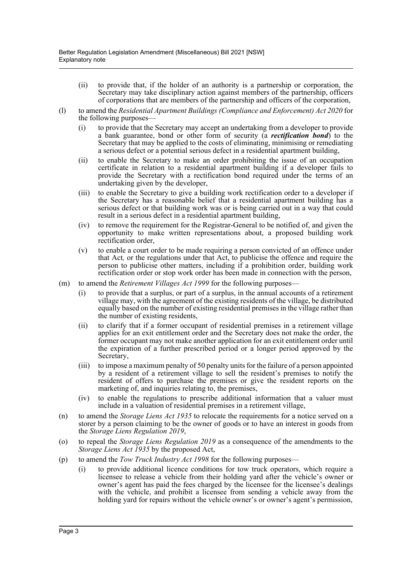- (ii) to provide that, if the holder of an authority is a partnership or corporation, the Secretary may take disciplinary action against members of the partnership, officers of corporations that are members of the partnership and officers of the corporation,
- (l) to amend the *Residential Apartment Buildings (Compliance and Enforcement) Act 2020* for the following purposes—
	- (i) to provide that the Secretary may accept an undertaking from a developer to provide a bank guarantee, bond or other form of security (a *rectification bond*) to the Secretary that may be applied to the costs of eliminating, minimising or remediating a serious defect or a potential serious defect in a residential apartment building,
	- (ii) to enable the Secretary to make an order prohibiting the issue of an occupation certificate in relation to a residential apartment building if a developer fails to provide the Secretary with a rectification bond required under the terms of an undertaking given by the developer,
	- (iii) to enable the Secretary to give a building work rectification order to a developer if the Secretary has a reasonable belief that a residential apartment building has a serious defect or that building work was or is being carried out in a way that could result in a serious defect in a residential apartment building,
	- (iv) to remove the requirement for the Registrar-General to be notified of, and given the opportunity to make written representations about, a proposed building work rectification order,
	- (v) to enable a court order to be made requiring a person convicted of an offence under that Act*,* or the regulations under that Act, to publicise the offence and require the person to publicise other matters, including if a prohibition order, building work rectification order or stop work order has been made in connection with the person,
- (m) to amend the *Retirement Villages Act 1999* for the following purposes—
	- (i) to provide that a surplus, or part of a surplus, in the annual accounts of a retirement village may, with the agreement of the existing residents of the village, be distributed equally based on the number of existing residential premises in the village rather than the number of existing residents,
	- (ii) to clarify that if a former occupant of residential premises in a retirement village applies for an exit entitlement order and the Secretary does not make the order, the former occupant may not make another application for an exit entitlement order until the expiration of a further prescribed period or a longer period approved by the Secretary,
	- (iii) to impose a maximum penalty of 50 penalty units for the failure of a person appointed by a resident of a retirement village to sell the resident's premises to notify the resident of offers to purchase the premises or give the resident reports on the marketing of, and inquiries relating to, the premises,
	- (iv) to enable the regulations to prescribe additional information that a valuer must include in a valuation of residential premises in a retirement village,
- (n) to amend the *Storage Liens Act 1935* to relocate the requirements for a notice served on a storer by a person claiming to be the owner of goods or to have an interest in goods from the *Storage Liens Regulation 2019*,
- (o) to repeal the *Storage Liens Regulation 2019* as a consequence of the amendments to the *Storage Liens Act 1935* by the proposed Act,
- (p) to amend the *Tow Truck Industry Act 1998* for the following purposes—
	- (i) to provide additional licence conditions for tow truck operators, which require a licensee to release a vehicle from their holding yard after the vehicle's owner or owner's agent has paid the fees charged by the licensee for the licensee's dealings with the vehicle, and prohibit a licensee from sending a vehicle away from the holding yard for repairs without the vehicle owner's or owner's agent's permission,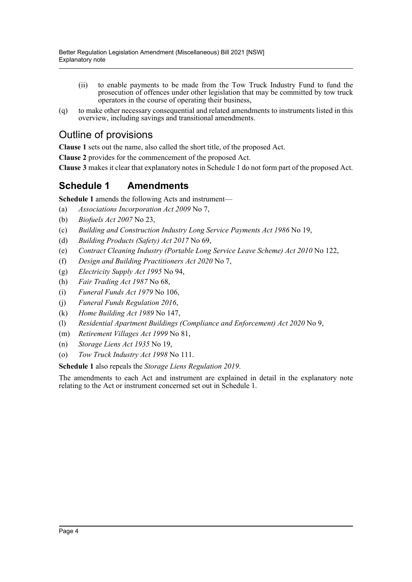- (ii) to enable payments to be made from the Tow Truck Industry Fund to fund the prosecution of offences under other legislation that may be committed by tow truck operators in the course of operating their business,
- (q) to make other necessary consequential and related amendments to instruments listed in this overview, including savings and transitional amendments.

## Outline of provisions

**Clause 1** sets out the name, also called the short title, of the proposed Act.

**Clause 2** provides for the commencement of the proposed Act.

**Clause 3** makes it clear that explanatory notes in Schedule 1 do not form part of the proposed Act.

### **Schedule 1 Amendments**

**Schedule 1** amends the following Acts and instrument—

- (a) *Associations Incorporation Act 2009* No 7,
- (b) *Biofuels Act 2007* No 23,
- (c) *Building and Construction Industry Long Service Payments Act 1986* No 19,
- (d) *Building Products (Safety) Act 2017* No 69,
- (e) *Contract Cleaning Industry (Portable Long Service Leave Scheme) Act 2010* No 122,
- (f) *Design and Building Practitioners Act 2020* No 7,
- (g) *Electricity Supply Act 1995* No 94,
- (h) *Fair Trading Act 1987* No 68,
- (i) *Funeral Funds Act 1979* No 106,
- (j) *Funeral Funds Regulation 2016*,
- (k) *Home Building Act 1989* No 147,
- (l) *Residential Apartment Buildings (Compliance and Enforcement) Act 2020* No 9,
- (m) *Retirement Villages Act 1999* No 81,
- (n) *Storage Liens Act 1935* No 19,
- (o) *Tow Truck Industry Act 1998* No 111.

### **Schedule 1** also repeals the *Storage Liens Regulation 2019*.

The amendments to each Act and instrument are explained in detail in the explanatory note relating to the Act or instrument concerned set out in Schedule 1.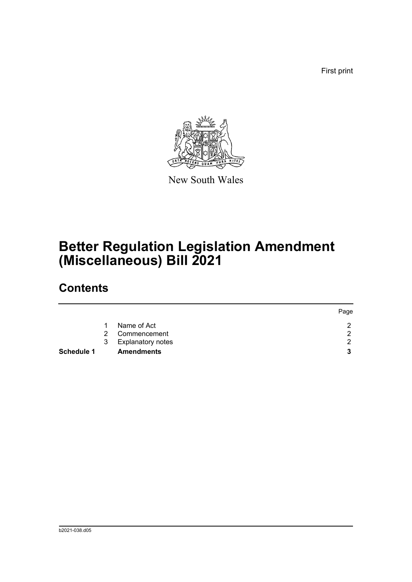First print



New South Wales

## **Better Regulation Legislation Amendment (Miscellaneous) Bill 2021**

## **Contents**

|            |               |                          | Page |
|------------|---------------|--------------------------|------|
|            |               | Name of Act              | ◠    |
|            | $\mathcal{P}$ | Commencement             | റ    |
|            | 3             | <b>Explanatory notes</b> | ◠    |
| Schedule 1 |               | <b>Amendments</b>        |      |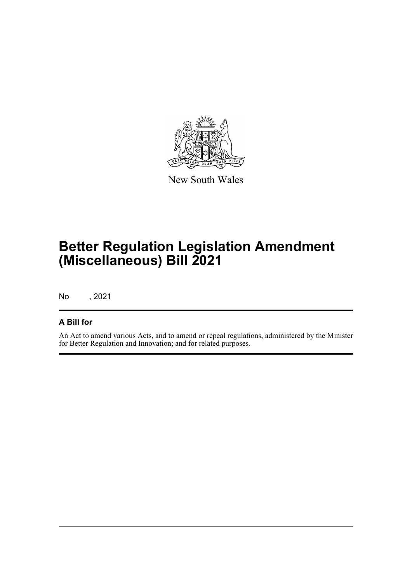

New South Wales

## **Better Regulation Legislation Amendment (Miscellaneous) Bill 2021**

No , 2021

### **A Bill for**

An Act to amend various Acts, and to amend or repeal regulations, administered by the Minister for Better Regulation and Innovation; and for related purposes.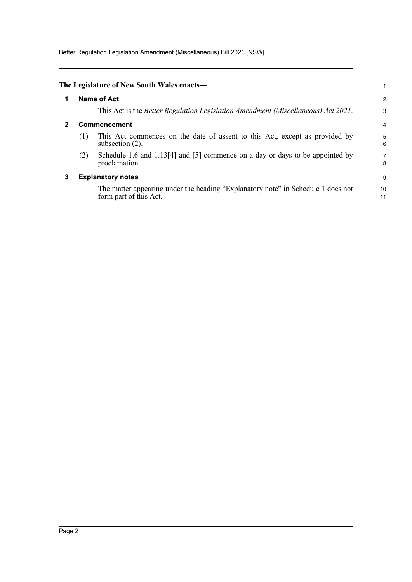Better Regulation Legislation Amendment (Miscellaneous) Bill 2021 [NSW]

<span id="page-6-2"></span><span id="page-6-1"></span><span id="page-6-0"></span>

|   |     | The Legislature of New South Wales enacts—                                                                 |                |
|---|-----|------------------------------------------------------------------------------------------------------------|----------------|
| 1 |     | <b>Name of Act</b>                                                                                         | $\overline{a}$ |
|   |     | This Act is the <i>Better Regulation Legislation Amendment (Miscellaneous) Act 2021</i> .                  | 3              |
|   |     | Commencement                                                                                               | 4              |
|   | (1) | This Act commences on the date of assent to this Act, except as provided by<br>subsection $(2)$ .          | 5<br>6         |
|   | (2) | Schedule 1.6 and 1.13[4] and [5] commence on a day or days to be appointed by<br>proclamation.             | 7<br>8         |
| 3 |     | <b>Explanatory notes</b>                                                                                   | 9              |
|   |     | The matter appearing under the heading "Explanatory note" in Schedule 1 does not<br>form part of this Act. | 10<br>11       |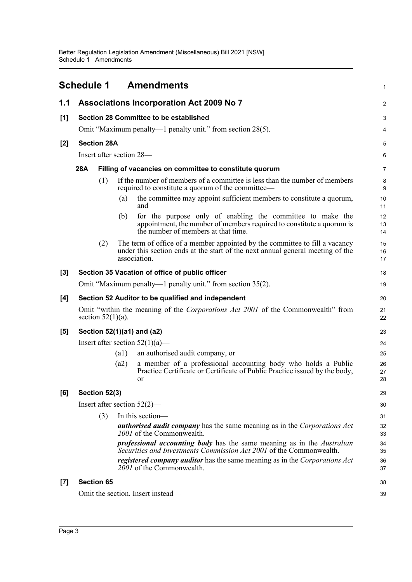<span id="page-7-0"></span>

|     | Schedule 1                     |                           | <b>Amendments</b>                                                                                                                                                             | $\mathbf{1}$   |
|-----|--------------------------------|---------------------------|-------------------------------------------------------------------------------------------------------------------------------------------------------------------------------|----------------|
| 1.1 |                                |                           | Associations Incorporation Act 2009 No 7                                                                                                                                      | 2              |
| [1] |                                |                           | Section 28 Committee to be established                                                                                                                                        | 3              |
|     |                                |                           | Omit "Maximum penalty—1 penalty unit." from section 28(5).                                                                                                                    | 4              |
| [2] | <b>Section 28A</b>             |                           |                                                                                                                                                                               | 5              |
|     | Insert after section 28—       |                           |                                                                                                                                                                               | 6              |
|     | 28A                            |                           | Filling of vacancies on committee to constitute quorum                                                                                                                        | $\overline{7}$ |
|     | (1)                            |                           | If the number of members of a committee is less than the number of members<br>required to constitute a quorum of the committee—                                               | 8<br>9         |
|     |                                | (a)                       | the committee may appoint sufficient members to constitute a quorum,<br>and                                                                                                   | 10<br>11       |
|     |                                | (b)                       | for the purpose only of enabling the committee to make the<br>appointment, the number of members required to constitute a quorum is<br>the number of members at that time.    | 12<br>13<br>14 |
|     | (2)                            |                           | The term of office of a member appointed by the committee to fill a vacancy<br>under this section ends at the start of the next annual general meeting of the<br>association. | 15<br>16<br>17 |
| [3] |                                |                           | Section 35 Vacation of office of public officer                                                                                                                               | 18             |
|     |                                |                           | Omit "Maximum penalty—1 penalty unit." from section 35(2).                                                                                                                    | 19             |
| [4] |                                |                           | Section 52 Auditor to be qualified and independent                                                                                                                            | 20             |
|     | section $52(1)(a)$ .           |                           | Omit "within the meaning of the <i>Corporations Act 2001</i> of the Commonwealth" from                                                                                        | 21<br>22       |
| [5] | Section 52(1)(a1) and (a2)     |                           |                                                                                                                                                                               | 23             |
|     |                                |                           | Insert after section $52(1)(a)$ —                                                                                                                                             | 24             |
|     |                                | $\left( \text{a1}\right)$ | an authorised audit company, or                                                                                                                                               | 25             |
|     |                                | (a2)                      | a member of a professional accounting body who holds a Public<br>Practice Certificate or Certificate of Public Practice issued by the body,<br><sub>or</sub>                  | 26<br>27<br>28 |
| [6] | Section 52(3)                  |                           |                                                                                                                                                                               | 29             |
|     | Insert after section $52(2)$ — |                           |                                                                                                                                                                               | 30             |
|     | (3)                            |                           | In this section-                                                                                                                                                              | 31             |
|     |                                |                           | <b>authorised audit company</b> has the same meaning as in the Corporations Act<br>2001 of the Commonwealth.                                                                  | 32<br>33       |
|     |                                |                           | <i>professional accounting body</i> has the same meaning as in the <i>Australian</i><br>Securities and Investments Commission Act 2001 of the Commonwealth.                   | 34<br>35       |
|     |                                |                           | <i>registered company auditor</i> has the same meaning as in the <i>Corporations Act</i><br>2001 of the Commonwealth.                                                         | 36<br>37       |
| [7] | <b>Section 65</b>              |                           |                                                                                                                                                                               | 38             |
|     |                                |                           | Omit the section. Insert instead—                                                                                                                                             | 39             |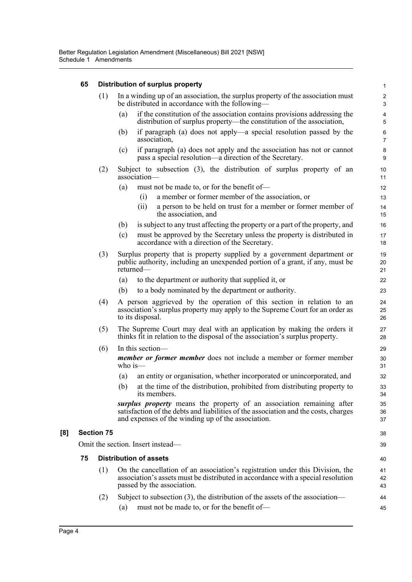### **65 Distribution of surplus property**

|     |    | (1)               | In a winding up of an association, the surplus property of the association must<br>be distributed in accordance with the following—                                                                                | $\overline{c}$<br>3          |
|-----|----|-------------------|--------------------------------------------------------------------------------------------------------------------------------------------------------------------------------------------------------------------|------------------------------|
|     |    |                   | if the constitution of the association contains provisions addressing the<br>(a)<br>distribution of surplus property—the constitution of the association,                                                          | $\overline{\mathbf{4}}$<br>5 |
|     |    |                   | if paragraph (a) does not apply—a special resolution passed by the<br>(b)<br>association,                                                                                                                          | 6<br>$\overline{7}$          |
|     |    |                   | if paragraph (a) does not apply and the association has not or cannot<br>(c)<br>pass a special resolution—a direction of the Secretary.                                                                            | 8<br>9                       |
|     |    | (2)               | Subject to subsection (3), the distribution of surplus property of an<br>association-                                                                                                                              | 10<br>11                     |
|     |    |                   | must not be made to, or for the benefit of-<br>(a)                                                                                                                                                                 | 12                           |
|     |    |                   | a member or former member of the association, or<br>(i)                                                                                                                                                            | 13                           |
|     |    |                   | (ii)<br>a person to be held on trust for a member or former member of<br>the association, and                                                                                                                      | 14<br>15                     |
|     |    |                   | is subject to any trust affecting the property or a part of the property, and<br>(b)                                                                                                                               | 16                           |
|     |    |                   | must be approved by the Secretary unless the property is distributed in<br>(c)<br>accordance with a direction of the Secretary.                                                                                    | 17<br>18                     |
|     |    | (3)               | Surplus property that is property supplied by a government department or<br>public authority, including an unexpended portion of a grant, if any, must be<br>returned—                                             | 19<br>20<br>21               |
|     |    |                   | to the department or authority that supplied it, or<br>(a)                                                                                                                                                         | 22                           |
|     |    |                   | (b)<br>to a body nominated by the department or authority.                                                                                                                                                         | 23                           |
|     |    | (4)               | A person aggrieved by the operation of this section in relation to an<br>association's surplus property may apply to the Supreme Court for an order as<br>to its disposal.                                         | 24<br>25<br>26               |
|     |    | (5)               | The Supreme Court may deal with an application by making the orders it<br>thinks fit in relation to the disposal of the association's surplus property.                                                            | 27<br>28                     |
|     |    | (6)               | In this section-                                                                                                                                                                                                   | 29                           |
|     |    |                   | <i>member or former member</i> does not include a member or former member<br>who is $-$                                                                                                                            | 30<br>31                     |
|     |    |                   | an entity or organisation, whether incorporated or unincorporated, and<br>(a)                                                                                                                                      | 32                           |
|     |    |                   | at the time of the distribution, prohibited from distributing property to<br>(b)<br>its members.                                                                                                                   | 33<br>34                     |
|     |    |                   | surplus property means the property of an association remaining after<br>satisfaction of the debts and liabilities of the association and the costs, charges<br>and expenses of the winding up of the association. | 35<br>36<br>37               |
| [8] |    | <b>Section 75</b> |                                                                                                                                                                                                                    | 38                           |
|     |    |                   | Omit the section. Insert instead—                                                                                                                                                                                  | 39                           |
|     | 75 |                   | <b>Distribution of assets</b>                                                                                                                                                                                      | 40                           |
|     |    | (1)               | On the cancellation of an association's registration under this Division, the<br>association's assets must be distributed in accordance with a special resolution<br>passed by the association.                    | 41<br>42<br>43               |
|     |    | (2)               | Subject to subsection (3), the distribution of the assets of the association—                                                                                                                                      | 44                           |
|     |    |                   | must not be made to, or for the benefit of-<br>(a)                                                                                                                                                                 | 45                           |
|     |    |                   |                                                                                                                                                                                                                    |                              |

1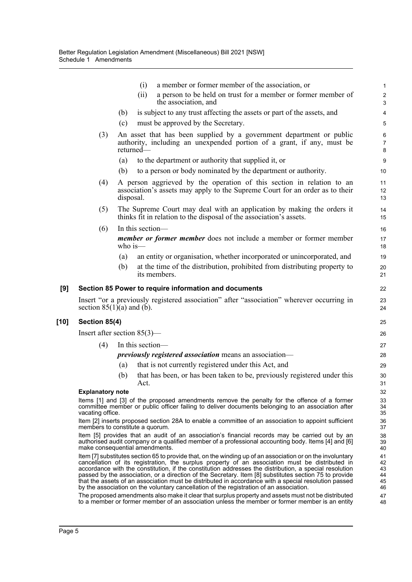|        |                                |            | a member or former member of the association, or<br>(i)                                                                                                                                                                                                                                                                                                                                                                                                                                                                                                                                                                              | $\mathbf{1}$                       |
|--------|--------------------------------|------------|--------------------------------------------------------------------------------------------------------------------------------------------------------------------------------------------------------------------------------------------------------------------------------------------------------------------------------------------------------------------------------------------------------------------------------------------------------------------------------------------------------------------------------------------------------------------------------------------------------------------------------------|------------------------------------|
|        |                                |            | a person to be held on trust for a member or former member of<br>(ii)<br>the association, and                                                                                                                                                                                                                                                                                                                                                                                                                                                                                                                                        | $\sqrt{2}$<br>3                    |
|        |                                | (b)        | is subject to any trust affecting the assets or part of the assets, and                                                                                                                                                                                                                                                                                                                                                                                                                                                                                                                                                              | $\overline{4}$                     |
|        |                                | (c)        | must be approved by the Secretary.                                                                                                                                                                                                                                                                                                                                                                                                                                                                                                                                                                                                   | 5                                  |
|        | (3)                            |            | An asset that has been supplied by a government department or public<br>authority, including an unexpended portion of a grant, if any, must be<br>returned—                                                                                                                                                                                                                                                                                                                                                                                                                                                                          | $\,6$<br>$\overline{7}$<br>$\bf 8$ |
|        |                                | (a)        | to the department or authority that supplied it, or                                                                                                                                                                                                                                                                                                                                                                                                                                                                                                                                                                                  | $\boldsymbol{9}$                   |
|        |                                | (b)        | to a person or body nominated by the department or authority.                                                                                                                                                                                                                                                                                                                                                                                                                                                                                                                                                                        | 10                                 |
|        | (4)                            | disposal.  | A person aggrieved by the operation of this section in relation to an<br>association's assets may apply to the Supreme Court for an order as to their                                                                                                                                                                                                                                                                                                                                                                                                                                                                                | 11<br>12<br>13                     |
|        | (5)                            |            | The Supreme Court may deal with an application by making the orders it<br>thinks fit in relation to the disposal of the association's assets.                                                                                                                                                                                                                                                                                                                                                                                                                                                                                        | 14<br>15                           |
|        | (6)                            |            | In this section-                                                                                                                                                                                                                                                                                                                                                                                                                                                                                                                                                                                                                     | 16                                 |
|        |                                | who is $-$ | <i>member or former member</i> does not include a member or former member                                                                                                                                                                                                                                                                                                                                                                                                                                                                                                                                                            | 17<br>18                           |
|        |                                | (a)        | an entity or organisation, whether incorporated or unincorporated, and                                                                                                                                                                                                                                                                                                                                                                                                                                                                                                                                                               | 19                                 |
|        |                                | (b)        | at the time of the distribution, prohibited from distributing property to<br>its members.                                                                                                                                                                                                                                                                                                                                                                                                                                                                                                                                            | 20<br>21                           |
| [9]    |                                |            | Section 85 Power to require information and documents                                                                                                                                                                                                                                                                                                                                                                                                                                                                                                                                                                                | 22                                 |
|        |                                |            | Insert "or a previously registered association" after "association" wherever occurring in                                                                                                                                                                                                                                                                                                                                                                                                                                                                                                                                            | 23                                 |
|        | section $85(1)(a)$ and (b).    |            |                                                                                                                                                                                                                                                                                                                                                                                                                                                                                                                                                                                                                                      | 24                                 |
| $[10]$ | Section 85(4)                  |            |                                                                                                                                                                                                                                                                                                                                                                                                                                                                                                                                                                                                                                      | 25                                 |
|        | Insert after section $85(3)$ — |            |                                                                                                                                                                                                                                                                                                                                                                                                                                                                                                                                                                                                                                      | 26                                 |
|        | (4)                            |            | In this section-                                                                                                                                                                                                                                                                                                                                                                                                                                                                                                                                                                                                                     | 27                                 |
|        |                                |            | <i>previously registered association</i> means an association—                                                                                                                                                                                                                                                                                                                                                                                                                                                                                                                                                                       | 28                                 |
|        |                                | (a)        | that is not currently registered under this Act, and                                                                                                                                                                                                                                                                                                                                                                                                                                                                                                                                                                                 | 29                                 |
|        |                                | (b)        | that has been, or has been taken to be, previously registered under this<br>Act.                                                                                                                                                                                                                                                                                                                                                                                                                                                                                                                                                     | 30<br>31                           |
|        | <b>Explanatory note</b>        |            |                                                                                                                                                                                                                                                                                                                                                                                                                                                                                                                                                                                                                                      | 32                                 |
|        | vacating office.               |            | Items [1] and [3] of the proposed amendments remove the penalty for the offence of a former<br>committee member or public officer failing to deliver documents belonging to an association after                                                                                                                                                                                                                                                                                                                                                                                                                                     | 33<br>34<br>35                     |
|        |                                |            | Item [2] inserts proposed section 28A to enable a committee of an association to appoint sufficient                                                                                                                                                                                                                                                                                                                                                                                                                                                                                                                                  | 36<br>37                           |
|        |                                |            | members to constitute a quorum.<br>Item [5] provides that an audit of an association's financial records may be carried out by an<br>authorised audit company or a qualified member of a professional accounting body. Items [4] and [6]<br>make consequential amendments.                                                                                                                                                                                                                                                                                                                                                           | 38<br>39<br>40                     |
|        |                                |            | Item [7] substitutes section 65 to provide that, on the winding up of an association or on the involuntary<br>cancellation of its registration, the surplus property of an association must be distributed in<br>accordance with the constitution, if the constitution addresses the distribution, a special resolution<br>passed by the association, or a direction of the Secretary. Item [8] substitutes section 75 to provide<br>that the assets of an association must be distributed in accordance with a special resolution passed<br>by the association on the voluntary cancellation of the registration of an association. | 41<br>42<br>43<br>44<br>45<br>46   |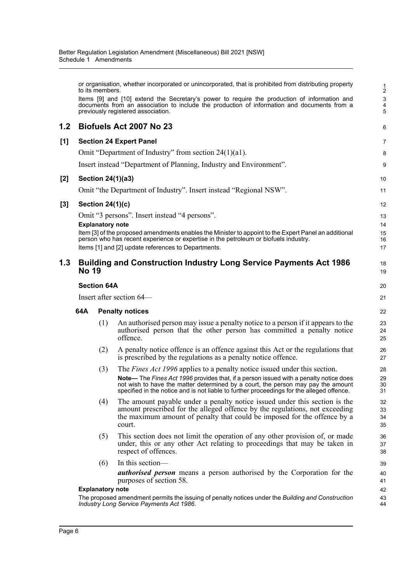|       |                          |                         | Schedule 1 Amendments                                                                                                                                                                                                                                                                                                                                      |                                         |  |  |
|-------|--------------------------|-------------------------|------------------------------------------------------------------------------------------------------------------------------------------------------------------------------------------------------------------------------------------------------------------------------------------------------------------------------------------------------------|-----------------------------------------|--|--|
|       |                          | to its members.         | or organisation, whether incorporated or unincorporated, that is prohibited from distributing property<br>Items [9] and [10] extend the Secretary's power to require the production of information and<br>documents from an association to include the production of information and documents from a<br>previously registered association.                | $\frac{1}{2}$<br>$\mathbf{3}$<br>4<br>5 |  |  |
| 1.2   |                          |                         | Biofuels Act 2007 No 23                                                                                                                                                                                                                                                                                                                                    | 6                                       |  |  |
| [1]   |                          |                         | <b>Section 24 Expert Panel</b>                                                                                                                                                                                                                                                                                                                             | 7                                       |  |  |
|       |                          |                         | Omit "Department of Industry" from section $24(1)(a1)$ .                                                                                                                                                                                                                                                                                                   | 8                                       |  |  |
|       |                          |                         | Insert instead "Department of Planning, Industry and Environment".                                                                                                                                                                                                                                                                                         | 9                                       |  |  |
| [2]   |                          |                         | Section 24(1)(a3)                                                                                                                                                                                                                                                                                                                                          | 10                                      |  |  |
|       |                          |                         | Omit "the Department of Industry". Insert instead "Regional NSW".                                                                                                                                                                                                                                                                                          | 11                                      |  |  |
| $[3]$ |                          | Section $24(1)(c)$      |                                                                                                                                                                                                                                                                                                                                                            | 12                                      |  |  |
|       |                          |                         | Omit "3 persons". Insert instead "4 persons".                                                                                                                                                                                                                                                                                                              | 13                                      |  |  |
|       |                          | <b>Explanatory note</b> |                                                                                                                                                                                                                                                                                                                                                            | 14                                      |  |  |
|       |                          |                         | Item [3] of the proposed amendments enables the Minister to appoint to the Expert Panel an additional<br>person who has recent experience or expertise in the petroleum or biofuels industry.                                                                                                                                                              | 15<br>16                                |  |  |
|       |                          |                         | Items [1] and [2] update references to Departments.                                                                                                                                                                                                                                                                                                        | 17                                      |  |  |
| 1.3   | <b>No 19</b>             |                         | <b>Building and Construction Industry Long Service Payments Act 1986</b>                                                                                                                                                                                                                                                                                   | 18<br>19                                |  |  |
|       |                          | <b>Section 64A</b>      |                                                                                                                                                                                                                                                                                                                                                            | 20                                      |  |  |
|       | Insert after section 64– |                         |                                                                                                                                                                                                                                                                                                                                                            |                                         |  |  |
|       | 64A                      |                         | <b>Penalty notices</b>                                                                                                                                                                                                                                                                                                                                     | 22                                      |  |  |
|       |                          | (1)                     | An authorised person may issue a penalty notice to a person if it appears to the<br>authorised person that the other person has committed a penalty notice<br>offence.                                                                                                                                                                                     | 23<br>24<br>25                          |  |  |
|       |                          | (2)                     | A penalty notice offence is an offence against this Act or the regulations that<br>is prescribed by the regulations as a penalty notice offence.                                                                                                                                                                                                           | 26<br>27                                |  |  |
|       |                          | (3)                     | The <i>Fines Act 1996</i> applies to a penalty notice issued under this section.<br>Note- The Fines Act 1996 provides that, if a person issued with a penalty notice does<br>not wish to have the matter determined by a court, the person may pay the amount<br>specified in the notice and is not liable to further proceedings for the alleged offence. | 28<br>29<br>30<br>31                    |  |  |
|       |                          | (4)                     | The amount payable under a penalty notice issued under this section is the<br>amount prescribed for the alleged offence by the regulations, not exceeding<br>the maximum amount of penalty that could be imposed for the offence by a<br>court.                                                                                                            | 32<br>33<br>34<br>35                    |  |  |

- (5) This section does not limit the operation of any other provision of, or made under, this or any other Act relating to proceedings that may be taken in respect of offences.
- (6) In this section—

*authorised person* means a person authorised by the Corporation for the purposes of section 58.

### **Explanatory note**

The proposed amendment permits the issuing of penalty notices under the *Building and Construction Industry Long Service Payments Act 1986*.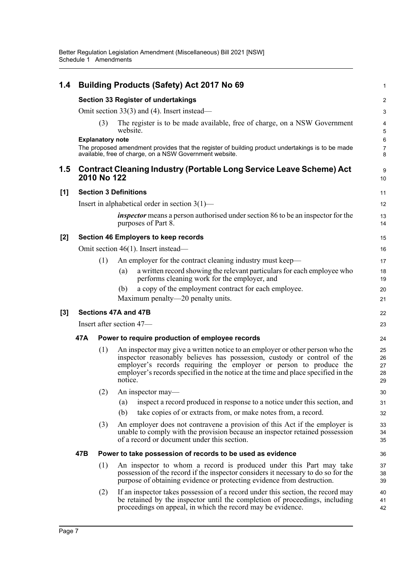| 1.4   |     |                         | <b>Building Products (Safety) Act 2017 No 69</b>                                                                                                                                                                                                                                                                               | $\mathbf{1}$               |  |  |
|-------|-----|-------------------------|--------------------------------------------------------------------------------------------------------------------------------------------------------------------------------------------------------------------------------------------------------------------------------------------------------------------------------|----------------------------|--|--|
|       |     |                         | <b>Section 33 Register of undertakings</b>                                                                                                                                                                                                                                                                                     | $\overline{c}$             |  |  |
|       |     |                         | Omit section $33(3)$ and (4). Insert instead—                                                                                                                                                                                                                                                                                  | $\mathsf 3$                |  |  |
|       |     | (3)                     | The register is to be made available, free of charge, on a NSW Government<br>website.                                                                                                                                                                                                                                          | 4<br>5                     |  |  |
|       |     | <b>Explanatory note</b> | The proposed amendment provides that the register of building product undertakings is to be made<br>available, free of charge, on a NSW Government website.                                                                                                                                                                    | 6<br>$\overline{7}$<br>8   |  |  |
| 1.5   |     | 2010 No 122             | <b>Contract Cleaning Industry (Portable Long Service Leave Scheme) Act</b>                                                                                                                                                                                                                                                     | 9<br>10                    |  |  |
| [1]   |     |                         | <b>Section 3 Definitions</b>                                                                                                                                                                                                                                                                                                   | 11                         |  |  |
|       |     |                         | Insert in alphabetical order in section $3(1)$ —                                                                                                                                                                                                                                                                               | 12                         |  |  |
|       |     |                         | <i>inspector</i> means a person authorised under section 86 to be an inspector for the<br>purposes of Part 8.                                                                                                                                                                                                                  | 13<br>14                   |  |  |
| $[2]$ |     |                         | Section 46 Employers to keep records                                                                                                                                                                                                                                                                                           | 15                         |  |  |
|       |     |                         | Omit section 46(1). Insert instead—                                                                                                                                                                                                                                                                                            | 16                         |  |  |
|       |     | (1)                     | An employer for the contract cleaning industry must keep—                                                                                                                                                                                                                                                                      | 17                         |  |  |
|       |     |                         | a written record showing the relevant particulars for each employee who<br>(a)<br>performs cleaning work for the employer, and                                                                                                                                                                                                 | 18<br>19                   |  |  |
|       |     |                         | a copy of the employment contract for each employee.<br>(b)                                                                                                                                                                                                                                                                    | 20                         |  |  |
|       |     |                         | Maximum penalty—20 penalty units.                                                                                                                                                                                                                                                                                              | 21                         |  |  |
| $[3]$ |     |                         | Sections 47A and 47B                                                                                                                                                                                                                                                                                                           | 22                         |  |  |
|       |     |                         | Insert after section 47-                                                                                                                                                                                                                                                                                                       | 23                         |  |  |
|       | 47A |                         | Power to require production of employee records                                                                                                                                                                                                                                                                                |                            |  |  |
|       |     | (1)                     | An inspector may give a written notice to an employer or other person who the<br>inspector reasonably believes has possession, custody or control of the<br>employer's records requiring the employer or person to produce the<br>employer's records specified in the notice at the time and place specified in the<br>notice. | 25<br>26<br>27<br>28<br>29 |  |  |
|       |     | (2)                     | An inspector may—                                                                                                                                                                                                                                                                                                              | 30                         |  |  |
|       |     |                         | inspect a record produced in response to a notice under this section, and<br>(a)                                                                                                                                                                                                                                               | 31                         |  |  |
|       |     |                         | take copies of or extracts from, or make notes from, a record.<br>(b)                                                                                                                                                                                                                                                          | 32                         |  |  |
|       |     | (3)                     | An employer does not contravene a provision of this Act if the employer is<br>unable to comply with the provision because an inspector retained possession<br>of a record or document under this section.                                                                                                                      | 33<br>34<br>35             |  |  |
|       | 47B |                         | Power to take possession of records to be used as evidence                                                                                                                                                                                                                                                                     | 36                         |  |  |
|       |     | (1)                     | An inspector to whom a record is produced under this Part may take<br>possession of the record if the inspector considers it necessary to do so for the<br>purpose of obtaining evidence or protecting evidence from destruction.                                                                                              | 37<br>38<br>39             |  |  |
|       |     | (2)                     | If an inspector takes possession of a record under this section, the record may<br>be retained by the inspector until the completion of proceedings, including<br>proceedings on appeal, in which the record may be evidence.                                                                                                  | 40<br>41<br>42             |  |  |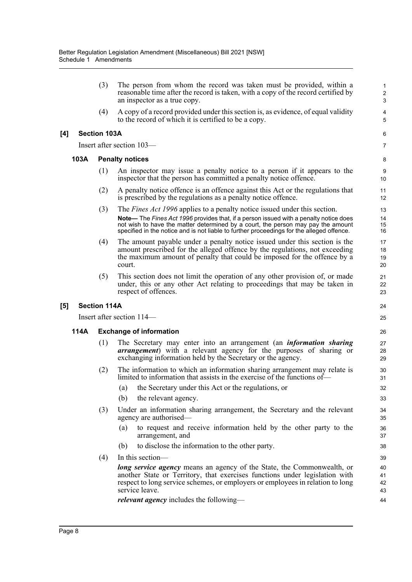|     |      | (3)                 | The person from whom the record was taken must be provided, within a<br>reasonable time after the record is taken, with a copy of the record certified by<br>an inspector as a true copy.                                                                                                                                                                 | 1<br>$\overline{\mathbf{c}}$<br>3 |  |  |  |
|-----|------|---------------------|-----------------------------------------------------------------------------------------------------------------------------------------------------------------------------------------------------------------------------------------------------------------------------------------------------------------------------------------------------------|-----------------------------------|--|--|--|
|     |      | (4)                 | A copy of a record provided under this section is, as evidence, of equal validity<br>to the record of which it is certified to be a copy.                                                                                                                                                                                                                 | 4<br>5                            |  |  |  |
| [4] |      | <b>Section 103A</b> |                                                                                                                                                                                                                                                                                                                                                           | 6                                 |  |  |  |
|     |      |                     | Insert after section 103—                                                                                                                                                                                                                                                                                                                                 | 7                                 |  |  |  |
|     | 103A |                     | <b>Penalty notices</b>                                                                                                                                                                                                                                                                                                                                    | 8                                 |  |  |  |
|     |      | (1)                 | An inspector may issue a penalty notice to a person if it appears to the<br>inspector that the person has committed a penalty notice offence.                                                                                                                                                                                                             | 9<br>10                           |  |  |  |
|     |      | (2)                 | A penalty notice offence is an offence against this Act or the regulations that<br>is prescribed by the regulations as a penalty notice offence.                                                                                                                                                                                                          | 11<br>12                          |  |  |  |
|     |      | (3)                 | The <i>Fines Act 1996</i> applies to a penalty notice issued under this section.<br>Note-The Fines Act 1996 provides that, if a person issued with a penalty notice does<br>not wish to have the matter determined by a court, the person may pay the amount<br>specified in the notice and is not liable to further proceedings for the alleged offence. | 13<br>14<br>15<br>16              |  |  |  |
|     |      | (4)                 | The amount payable under a penalty notice issued under this section is the<br>amount prescribed for the alleged offence by the regulations, not exceeding<br>the maximum amount of penalty that could be imposed for the offence by a<br>court.                                                                                                           | 17<br>18<br>19<br>20              |  |  |  |
|     |      | (5)                 | This section does not limit the operation of any other provision of, or made<br>under, this or any other Act relating to proceedings that may be taken in<br>respect of offences.                                                                                                                                                                         | 21<br>22<br>23                    |  |  |  |
| [5] |      | <b>Section 114A</b> |                                                                                                                                                                                                                                                                                                                                                           | 24                                |  |  |  |
|     |      |                     | Insert after section 114—                                                                                                                                                                                                                                                                                                                                 | 25                                |  |  |  |
|     | 114A |                     | <b>Exchange of information</b>                                                                                                                                                                                                                                                                                                                            |                                   |  |  |  |
|     |      | (1)                 | The Secretary may enter into an arrangement (an <i>information sharing</i><br><b>arrangement</b> ) with a relevant agency for the purposes of sharing or<br>exchanging information held by the Secretary or the agency.                                                                                                                                   | 27<br>28<br>29                    |  |  |  |
|     |      | (2)                 | The information to which an information sharing arrangement may relate is<br>limited to information that assists in the exercise of the functions of—                                                                                                                                                                                                     | 30<br>31                          |  |  |  |
|     |      |                     | (a) the Secretary under this Act or the regulations, or                                                                                                                                                                                                                                                                                                   | 32                                |  |  |  |
|     |      |                     | (b)<br>the relevant agency.                                                                                                                                                                                                                                                                                                                               | 33                                |  |  |  |
|     |      | (3)                 | Under an information sharing arrangement, the Secretary and the relevant<br>agency are authorised—                                                                                                                                                                                                                                                        | 34<br>35                          |  |  |  |
|     |      |                     | to request and receive information held by the other party to the<br>(a)<br>arrangement, and                                                                                                                                                                                                                                                              | 36<br>37                          |  |  |  |
|     |      |                     | to disclose the information to the other party.<br>(b)                                                                                                                                                                                                                                                                                                    | 38                                |  |  |  |
|     |      | (4)                 | In this section—                                                                                                                                                                                                                                                                                                                                          | 39                                |  |  |  |
|     |      |                     | long service agency means an agency of the State, the Commonwealth, or<br>another State or Territory, that exercises functions under legislation with<br>respect to long service schemes, or employers or employees in relation to long<br>service leave.                                                                                                 | 40<br>41<br>42<br>43              |  |  |  |
|     |      |                     | <i>relevant agency</i> includes the following—                                                                                                                                                                                                                                                                                                            | 44                                |  |  |  |
|     |      |                     |                                                                                                                                                                                                                                                                                                                                                           |                                   |  |  |  |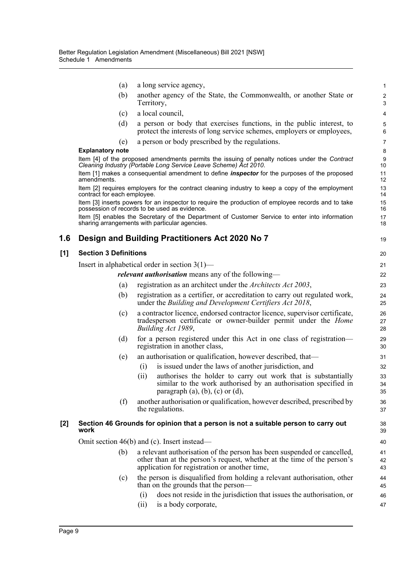|       | (a)                          | a long service agency,                                                                                                                                                                              | $\mathbf{1}$            |
|-------|------------------------------|-----------------------------------------------------------------------------------------------------------------------------------------------------------------------------------------------------|-------------------------|
|       | (b)                          | another agency of the State, the Commonwealth, or another State or<br>Territory,                                                                                                                    | $\overline{c}$<br>3     |
|       | (c)                          | a local council,                                                                                                                                                                                    | $\overline{\mathbf{4}}$ |
|       | (d)                          | a person or body that exercises functions, in the public interest, to<br>protect the interests of long service schemes, employers or employees,                                                     | 5<br>6                  |
|       | (e)                          | a person or body prescribed by the regulations.                                                                                                                                                     | $\overline{7}$          |
|       | <b>Explanatory note</b>      |                                                                                                                                                                                                     | 8                       |
|       |                              | Item [4] of the proposed amendments permits the issuing of penalty notices under the Contract<br>Cleaning Industry (Portable Long Service Leave Scheme) Act 2010.                                   | 9<br>10                 |
|       | amendments.                  | Item [1] makes a consequential amendment to define <i>inspector</i> for the purposes of the proposed                                                                                                | 11<br>12                |
|       | contract for each employee.  | Item [2] requires employers for the contract cleaning industry to keep a copy of the employment                                                                                                     | 13<br>14                |
|       |                              | Item [3] inserts powers for an inspector to require the production of employee records and to take<br>possession of records to be used as evidence.                                                 | 15<br>16                |
|       |                              | Item [5] enables the Secretary of the Department of Customer Service to enter into information<br>sharing arrangements with particular agencies.                                                    | 17<br>18                |
| 1.6   |                              | Design and Building Practitioners Act 2020 No 7                                                                                                                                                     | 19                      |
| [1]   | <b>Section 3 Definitions</b> |                                                                                                                                                                                                     | 20                      |
|       |                              | Insert in alphabetical order in section $3(1)$ —                                                                                                                                                    | 21                      |
|       |                              | relevant authorisation means any of the following-                                                                                                                                                  | 22                      |
|       | (a)                          | registration as an architect under the Architects Act 2003,                                                                                                                                         | 23                      |
|       | (b)                          | registration as a certifier, or accreditation to carry out regulated work,<br>under the Building and Development Certifiers Act 2018,                                                               | 24<br>25                |
|       | (c)                          | a contractor licence, endorsed contractor licence, supervisor certificate,<br>tradesperson certificate or owner-builder permit under the <i>Home</i><br>Building Act 1989,                          | 26<br>27<br>28          |
|       | (d)                          | for a person registered under this Act in one class of registration-<br>registration in another class,                                                                                              | 29<br>30                |
|       | (e)                          | an authorisation or qualification, however described, that—                                                                                                                                         | 31                      |
|       |                              | is issued under the laws of another jurisdiction, and<br>(i)                                                                                                                                        | 32                      |
|       |                              | authorises the holder to carry out work that is substantially<br>(i)<br>similar to the work authorised by an authorisation specified in<br>paragraph $(a)$ , $(b)$ , $(c)$ or $(d)$ ,               | 33<br>34<br>35          |
|       | (f)                          | another authorisation or qualification, however described, prescribed by<br>the regulations.                                                                                                        | 36<br>37                |
| $[2]$ | work                         | Section 46 Grounds for opinion that a person is not a suitable person to carry out                                                                                                                  | 38<br>39                |
|       |                              | Omit section $46(b)$ and (c). Insert instead—                                                                                                                                                       | 40                      |
|       | (b)                          | a relevant authorisation of the person has been suspended or cancelled,<br>other than at the person's request, whether at the time of the person's<br>application for registration or another time, | 41<br>42<br>43          |
|       | (c)                          | the person is disqualified from holding a relevant authorisation, other<br>than on the grounds that the person—                                                                                     | 44<br>45                |
|       |                              | does not reside in the jurisdiction that issues the authorisation, or<br>(i)                                                                                                                        | 46                      |
|       |                              | is a body corporate,<br>(ii)                                                                                                                                                                        | 47                      |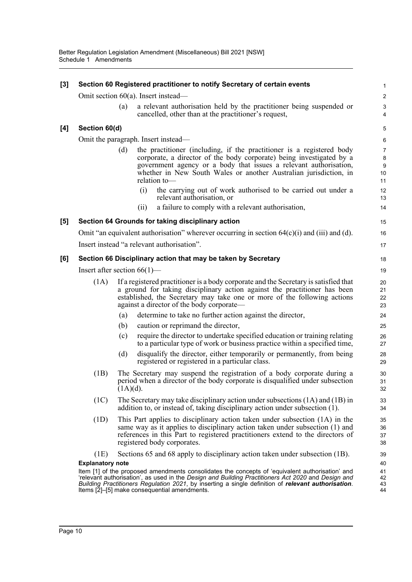| $[3]$ |                                |             |      | Section 60 Registered practitioner to notify Secretary of certain events                                                                                                                                                                                                                                                                                     | 1                                    |
|-------|--------------------------------|-------------|------|--------------------------------------------------------------------------------------------------------------------------------------------------------------------------------------------------------------------------------------------------------------------------------------------------------------------------------------------------------------|--------------------------------------|
|       |                                |             |      | Omit section $60(a)$ . Insert instead—                                                                                                                                                                                                                                                                                                                       | $\overline{c}$                       |
|       |                                | (a)         |      | a relevant authorisation held by the practitioner being suspended or<br>cancelled, other than at the practitioner's request,                                                                                                                                                                                                                                 | $\ensuremath{\mathsf{3}}$<br>4       |
| [4]   | Section 60(d)                  |             |      |                                                                                                                                                                                                                                                                                                                                                              | 5                                    |
|       |                                |             |      | Omit the paragraph. Insert instead—                                                                                                                                                                                                                                                                                                                          | 6                                    |
|       |                                | (d)         |      | the practitioner (including, if the practitioner is a registered body<br>corporate, a director of the body corporate) being investigated by a<br>government agency or a body that issues a relevant authorisation,<br>whether in New South Wales or another Australian jurisdiction, in<br>relation to-                                                      | $\overline{7}$<br>8<br>9<br>10<br>11 |
|       |                                |             | (i)  | the carrying out of work authorised to be carried out under a<br>relevant authorisation, or                                                                                                                                                                                                                                                                  | 12<br>13                             |
|       |                                |             | (ii) | a failure to comply with a relevant authorisation,                                                                                                                                                                                                                                                                                                           | 14                                   |
| [5]   |                                |             |      | Section 64 Grounds for taking disciplinary action                                                                                                                                                                                                                                                                                                            | 15                                   |
|       |                                |             |      | Omit "an equivalent authorisation" wherever occurring in section $64(c)(i)$ and $(ii)$ and $(d)$ .                                                                                                                                                                                                                                                           | 16                                   |
|       |                                |             |      | Insert instead "a relevant authorisation".                                                                                                                                                                                                                                                                                                                   | 17                                   |
| [6]   |                                |             |      | Section 66 Disciplinary action that may be taken by Secretary                                                                                                                                                                                                                                                                                                | 18                                   |
|       | Insert after section $66(1)$ — |             |      |                                                                                                                                                                                                                                                                                                                                                              | 19                                   |
|       | (1A)                           |             |      | If a registered practitioner is a body corporate and the Secretary is satisfied that<br>a ground for taking disciplinary action against the practitioner has been<br>established, the Secretary may take one or more of the following actions<br>against a director of the body corporate—                                                                   | 20<br>21<br>22<br>23                 |
|       |                                | (a)         |      | determine to take no further action against the director,                                                                                                                                                                                                                                                                                                    | 24                                   |
|       |                                | (b)         |      | caution or reprimand the director,                                                                                                                                                                                                                                                                                                                           | 25                                   |
|       |                                | (c)         |      | require the director to undertake specified education or training relating<br>to a particular type of work or business practice within a specified time,                                                                                                                                                                                                     | 26<br>27                             |
|       |                                | (d)         |      | disqualify the director, either temporarily or permanently, from being<br>registered or registered in a particular class.                                                                                                                                                                                                                                    | 28<br>29                             |
|       | (1B)                           | $(1A)(d)$ . |      | The Secretary may suspend the registration of a body corporate during a<br>period when a director of the body corporate is disqualified under subsection                                                                                                                                                                                                     | 30<br>31<br>32                       |
|       | (1C)                           |             |      | The Secretary may take disciplinary action under subsections $(1A)$ and $(1B)$ in<br>addition to, or instead of, taking disciplinary action under subsection (1).                                                                                                                                                                                            | 33<br>34                             |
|       | (1D)                           |             |      | This Part applies to disciplinary action taken under subsection (1A) in the<br>same way as it applies to disciplinary action taken under subsection (1) and<br>references in this Part to registered practitioners extend to the directors of<br>registered body corporates.                                                                                 | 35<br>36<br>37<br>38                 |
|       | (1E)                           |             |      | Sections 65 and 68 apply to disciplinary action taken under subsection (1B).                                                                                                                                                                                                                                                                                 | 39                                   |
|       | <b>Explanatory note</b>        |             |      | Item [1] of the proposed amendments consolidates the concepts of 'equivalent authorisation' and<br>'relevant authorisation', as used in the Design and Building Practitioners Act 2020 and Design and<br>Building Practitioners Regulation 2021, by inserting a single definition of relevant authorisation.<br>Items [2]–[5] make consequential amendments. | 40<br>41<br>42<br>43<br>44           |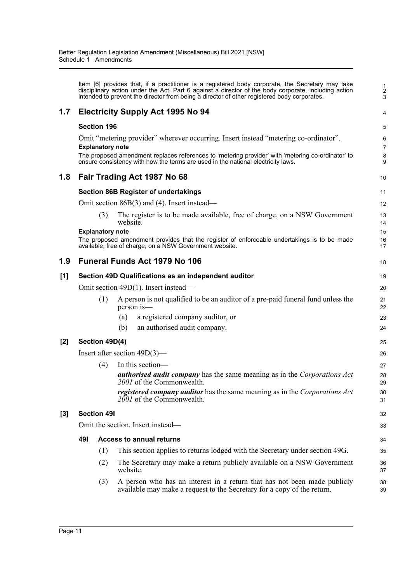|       |     |                         | Item [6] provides that, if a practitioner is a registered body corporate, the Secretary may take<br>disciplinary action under the Act, Part 6 against a director of the body corporate, including action<br>intended to prevent the director from being a director of other registered body corporates. | $\frac{1}{2}$<br>3 |
|-------|-----|-------------------------|---------------------------------------------------------------------------------------------------------------------------------------------------------------------------------------------------------------------------------------------------------------------------------------------------------|--------------------|
| 1.7   |     |                         | <b>Electricity Supply Act 1995 No 94</b>                                                                                                                                                                                                                                                                | 4                  |
|       |     | <b>Section 196</b>      |                                                                                                                                                                                                                                                                                                         | 5                  |
|       |     | <b>Explanatory note</b> | Omit "metering provider" wherever occurring. Insert instead "metering co-ordinator".                                                                                                                                                                                                                    | 6<br>7             |
|       |     |                         | The proposed amendment replaces references to 'metering provider' with 'metering co-ordinator' to<br>ensure consistency with how the terms are used in the national electricity laws.                                                                                                                   | 8<br>9             |
| 1.8   |     |                         | Fair Trading Act 1987 No 68                                                                                                                                                                                                                                                                             | 10                 |
|       |     |                         | <b>Section 86B Register of undertakings</b>                                                                                                                                                                                                                                                             | 11                 |
|       |     |                         | Omit section $86B(3)$ and (4). Insert instead—                                                                                                                                                                                                                                                          | 12                 |
|       |     | (3)                     | The register is to be made available, free of charge, on a NSW Government<br>website.                                                                                                                                                                                                                   | 13<br>14           |
|       |     | <b>Explanatory note</b> |                                                                                                                                                                                                                                                                                                         | 15                 |
|       |     |                         | The proposed amendment provides that the register of enforceable undertakings is to be made<br>available, free of charge, on a NSW Government website.                                                                                                                                                  | 16<br>17           |
| 1.9   |     |                         | <b>Funeral Funds Act 1979 No 106</b>                                                                                                                                                                                                                                                                    | 18                 |
| [1]   |     |                         | Section 49D Qualifications as an independent auditor                                                                                                                                                                                                                                                    | 19                 |
|       |     |                         | Omit section 49D(1). Insert instead—                                                                                                                                                                                                                                                                    | 20                 |
|       |     | (1)                     | A person is not qualified to be an auditor of a pre-paid funeral fund unless the<br>person is—                                                                                                                                                                                                          | 21<br>22           |
|       |     |                         | a registered company auditor, or<br>(a)                                                                                                                                                                                                                                                                 | 23                 |
|       |     |                         | an authorised audit company.<br>(b)                                                                                                                                                                                                                                                                     | 24                 |
| $[2]$ |     | Section 49D(4)          |                                                                                                                                                                                                                                                                                                         | 25                 |
|       |     |                         | Insert after section $49D(3)$ —                                                                                                                                                                                                                                                                         | 26                 |
|       |     | (4)                     | In this section-                                                                                                                                                                                                                                                                                        | 27                 |
|       |     |                         | <b><i>authorised audit company</i></b> has the same meaning as in the <i>Corporations Act</i><br>2001 of the Commonwealth.                                                                                                                                                                              | 28<br>29           |
|       |     |                         | <i>registered company auditor</i> has the same meaning as in the <i>Corporations Act</i><br>2001 of the Commonwealth.                                                                                                                                                                                   | 30<br>31           |
| [3]   |     | <b>Section 491</b>      |                                                                                                                                                                                                                                                                                                         | 32                 |
|       |     |                         | Omit the section. Insert instead—                                                                                                                                                                                                                                                                       | 33                 |
|       | 491 |                         | <b>Access to annual returns</b>                                                                                                                                                                                                                                                                         | 34                 |
|       |     | (1)                     | This section applies to returns lodged with the Secretary under section 49G.                                                                                                                                                                                                                            | 35                 |
|       |     | (2)                     | The Secretary may make a return publicly available on a NSW Government<br>website.                                                                                                                                                                                                                      | 36<br>37           |
|       |     | (3)                     | A person who has an interest in a return that has not been made publicly<br>available may make a request to the Secretary for a copy of the return.                                                                                                                                                     | 38<br>39           |
|       |     |                         |                                                                                                                                                                                                                                                                                                         |                    |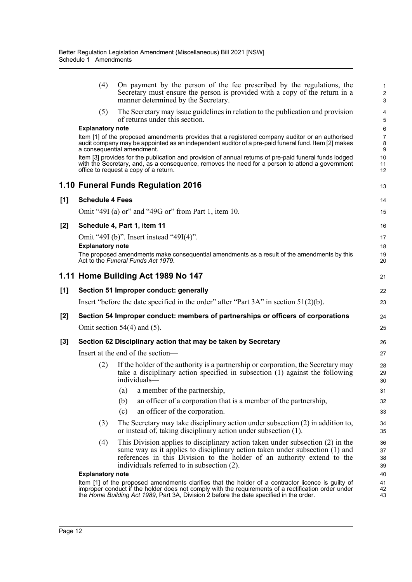|       | (4)                     | On payment by the person of the fee prescribed by the regulations, the<br>Secretary must ensure the person is provided with a copy of the return in a<br>manner determined by the Secretary.                                                                                                         | $\mathbf{1}$<br>$\overline{c}$<br>$\mathbf{3}$ |
|-------|-------------------------|------------------------------------------------------------------------------------------------------------------------------------------------------------------------------------------------------------------------------------------------------------------------------------------------------|------------------------------------------------|
|       | (5)                     | The Secretary may issue guidelines in relation to the publication and provision<br>of returns under this section.                                                                                                                                                                                    | 4<br>5                                         |
|       | <b>Explanatory note</b> |                                                                                                                                                                                                                                                                                                      | 6                                              |
|       |                         | Item [1] of the proposed amendments provides that a registered company auditor or an authorised<br>audit company may be appointed as an independent auditor of a pre-paid funeral fund. Item [2] makes<br>a consequential amendment.                                                                 | $\overline{7}$<br>8<br>9                       |
|       |                         | Item [3] provides for the publication and provision of annual returns of pre-paid funeral funds lodged<br>with the Secretary, and, as a consequence, removes the need for a person to attend a government<br>office to request a copy of a return.                                                   | 10<br>11<br>12                                 |
|       |                         | 1.10 Funeral Funds Regulation 2016                                                                                                                                                                                                                                                                   | 13                                             |
| [1]   | <b>Schedule 4 Fees</b>  |                                                                                                                                                                                                                                                                                                      | 14                                             |
|       |                         | Omit "49I (a) or" and "49G or" from Part 1, item 10.                                                                                                                                                                                                                                                 | 15                                             |
| $[2]$ |                         | Schedule 4, Part 1, item 11                                                                                                                                                                                                                                                                          | 16                                             |
|       |                         | Omit "49I (b)". Insert instead "49I(4)".                                                                                                                                                                                                                                                             | 17                                             |
|       | <b>Explanatory note</b> |                                                                                                                                                                                                                                                                                                      | 18                                             |
|       |                         | The proposed amendments make consequential amendments as a result of the amendments by this<br>Act to the Funeral Funds Act 1979.                                                                                                                                                                    | 19<br>20                                       |
|       |                         | 1.11 Home Building Act 1989 No 147                                                                                                                                                                                                                                                                   | 21                                             |
| [1]   |                         | Section 51 Improper conduct: generally                                                                                                                                                                                                                                                               | 22                                             |
|       |                         | Insert "before the date specified in the order" after "Part $3A$ " in section $51(2)(b)$ .                                                                                                                                                                                                           | 23                                             |
| [2]   |                         | Section 54 Improper conduct: members of partnerships or officers of corporations                                                                                                                                                                                                                     | 24                                             |
|       |                         | Omit section $54(4)$ and (5).                                                                                                                                                                                                                                                                        | 25                                             |
| $[3]$ |                         | Section 62 Disciplinary action that may be taken by Secretary                                                                                                                                                                                                                                        | 26                                             |
|       |                         | Insert at the end of the section-                                                                                                                                                                                                                                                                    | 27                                             |
|       | (2)                     | If the holder of the authority is a partnership or corporation, the Secretary may<br>take a disciplinary action specified in subsection (1) against the following<br>individuals-                                                                                                                    | 28<br>29<br>30                                 |
|       |                         | (a) a member of the partnership,                                                                                                                                                                                                                                                                     | 31                                             |
|       |                         | an officer of a corporation that is a member of the partnership,<br>(b)                                                                                                                                                                                                                              | 32                                             |
|       |                         | an officer of the corporation.<br>(c)                                                                                                                                                                                                                                                                | 33                                             |
|       | (3)                     | The Secretary may take disciplinary action under subsection $(2)$ in addition to,<br>or instead of, taking disciplinary action under subsection (1).                                                                                                                                                 | 34<br>35                                       |
|       | (4)                     | This Division applies to disciplinary action taken under subsection (2) in the<br>same way as it applies to disciplinary action taken under subsection (1) and<br>references in this Division to the holder of an authority extend to the<br>individuals referred to in subsection (2).              | 36<br>37<br>38<br>39                           |
|       | <b>Explanatory note</b> |                                                                                                                                                                                                                                                                                                      | 40                                             |
|       |                         | Item [1] of the proposed amendments clarifies that the holder of a contractor licence is guilty of<br>improper conduct if the holder does not comply with the requirements of a rectification order under<br>the Home Building Act 1989, Part 3A, Division 2 before the date specified in the order. | 41<br>42<br>43                                 |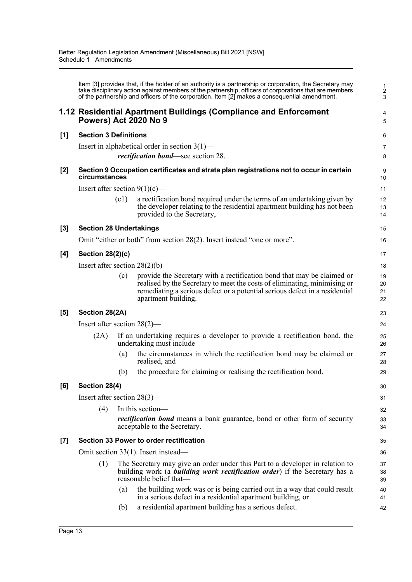|     | Item [3] provides that, if the holder of an authority is a partnership or corporation, the Secretary may<br>take disciplinary action against members of the partnership, officers of corporations that are members<br>of the partnership and officers of the corporation. Item [2] makes a consequential amendment. |                                                                                                                                                                                                |                                                                                                                                                                                                                                                           |                      |  |  |  |  |
|-----|---------------------------------------------------------------------------------------------------------------------------------------------------------------------------------------------------------------------------------------------------------------------------------------------------------------------|------------------------------------------------------------------------------------------------------------------------------------------------------------------------------------------------|-----------------------------------------------------------------------------------------------------------------------------------------------------------------------------------------------------------------------------------------------------------|----------------------|--|--|--|--|
|     | Powers) Act 2020 No 9                                                                                                                                                                                                                                                                                               |                                                                                                                                                                                                | 1.12 Residential Apartment Buildings (Compliance and Enforcement                                                                                                                                                                                          | 4<br>5               |  |  |  |  |
| [1] | <b>Section 3 Definitions</b>                                                                                                                                                                                                                                                                                        |                                                                                                                                                                                                |                                                                                                                                                                                                                                                           |                      |  |  |  |  |
|     | Insert in alphabetical order in section $3(1)$ —                                                                                                                                                                                                                                                                    |                                                                                                                                                                                                |                                                                                                                                                                                                                                                           |                      |  |  |  |  |
|     | <i>rectification bond</i> —see section 28.                                                                                                                                                                                                                                                                          |                                                                                                                                                                                                |                                                                                                                                                                                                                                                           |                      |  |  |  |  |
| [2] | Section 9 Occupation certificates and strata plan registrations not to occur in certain<br>circumstances                                                                                                                                                                                                            |                                                                                                                                                                                                |                                                                                                                                                                                                                                                           |                      |  |  |  |  |
|     | Insert after section $9(1)(c)$ —                                                                                                                                                                                                                                                                                    |                                                                                                                                                                                                |                                                                                                                                                                                                                                                           | 11                   |  |  |  |  |
|     |                                                                                                                                                                                                                                                                                                                     | (c1)                                                                                                                                                                                           | a rectification bond required under the terms of an undertaking given by<br>the developer relating to the residential apartment building has not been<br>provided to the Secretary,                                                                       | 12<br>13<br>14       |  |  |  |  |
| [3] | <b>Section 28 Undertakings</b>                                                                                                                                                                                                                                                                                      |                                                                                                                                                                                                |                                                                                                                                                                                                                                                           |                      |  |  |  |  |
|     | Omit "either or both" from section 28(2). Insert instead "one or more".                                                                                                                                                                                                                                             |                                                                                                                                                                                                |                                                                                                                                                                                                                                                           |                      |  |  |  |  |
| [4] | <b>Section 28(2)(c)</b>                                                                                                                                                                                                                                                                                             |                                                                                                                                                                                                |                                                                                                                                                                                                                                                           |                      |  |  |  |  |
|     | Insert after section $28(2)(b)$ —                                                                                                                                                                                                                                                                                   |                                                                                                                                                                                                |                                                                                                                                                                                                                                                           |                      |  |  |  |  |
|     |                                                                                                                                                                                                                                                                                                                     | (c)                                                                                                                                                                                            | provide the Secretary with a rectification bond that may be claimed or<br>realised by the Secretary to meet the costs of eliminating, minimising or<br>remediating a serious defect or a potential serious defect in a residential<br>apartment building. | 19<br>20<br>21<br>22 |  |  |  |  |
| [5] | Section 28(2A)                                                                                                                                                                                                                                                                                                      |                                                                                                                                                                                                |                                                                                                                                                                                                                                                           |                      |  |  |  |  |
|     | Insert after section $28(2)$ —                                                                                                                                                                                                                                                                                      |                                                                                                                                                                                                |                                                                                                                                                                                                                                                           |                      |  |  |  |  |
|     | (2A)                                                                                                                                                                                                                                                                                                                | If an undertaking requires a developer to provide a rectification bond, the<br>undertaking must include—                                                                                       |                                                                                                                                                                                                                                                           |                      |  |  |  |  |
|     |                                                                                                                                                                                                                                                                                                                     | (a)                                                                                                                                                                                            | the circumstances in which the rectification bond may be claimed or<br>realised, and                                                                                                                                                                      | 27<br>28             |  |  |  |  |
|     |                                                                                                                                                                                                                                                                                                                     | (b)                                                                                                                                                                                            | the procedure for claiming or realising the rectification bond.                                                                                                                                                                                           | 29                   |  |  |  |  |
| [6] | Section 28(4)                                                                                                                                                                                                                                                                                                       |                                                                                                                                                                                                |                                                                                                                                                                                                                                                           |                      |  |  |  |  |
|     | Insert after section $28(3)$ —                                                                                                                                                                                                                                                                                      |                                                                                                                                                                                                |                                                                                                                                                                                                                                                           |                      |  |  |  |  |
|     | (4)                                                                                                                                                                                                                                                                                                                 | In this section-                                                                                                                                                                               |                                                                                                                                                                                                                                                           |                      |  |  |  |  |
|     |                                                                                                                                                                                                                                                                                                                     | <i>rectification bond</i> means a bank guarantee, bond or other form of security<br>acceptable to the Secretary.                                                                               |                                                                                                                                                                                                                                                           | 33<br>34             |  |  |  |  |
| [7] | Section 33 Power to order rectification                                                                                                                                                                                                                                                                             |                                                                                                                                                                                                |                                                                                                                                                                                                                                                           |                      |  |  |  |  |
|     | Omit section 33(1). Insert instead—                                                                                                                                                                                                                                                                                 |                                                                                                                                                                                                |                                                                                                                                                                                                                                                           |                      |  |  |  |  |
|     | (1)                                                                                                                                                                                                                                                                                                                 | The Secretary may give an order under this Part to a developer in relation to<br>building work (a <b>building work rectification order</b> ) if the Secretary has a<br>reasonable belief that— |                                                                                                                                                                                                                                                           |                      |  |  |  |  |
|     |                                                                                                                                                                                                                                                                                                                     | (a)                                                                                                                                                                                            | the building work was or is being carried out in a way that could result<br>in a serious defect in a residential apartment building, or                                                                                                                   | 40<br>41             |  |  |  |  |
|     |                                                                                                                                                                                                                                                                                                                     | (b)                                                                                                                                                                                            | a residential apartment building has a serious defect.                                                                                                                                                                                                    | 42                   |  |  |  |  |

(b) a residential apartment building has a serious defect.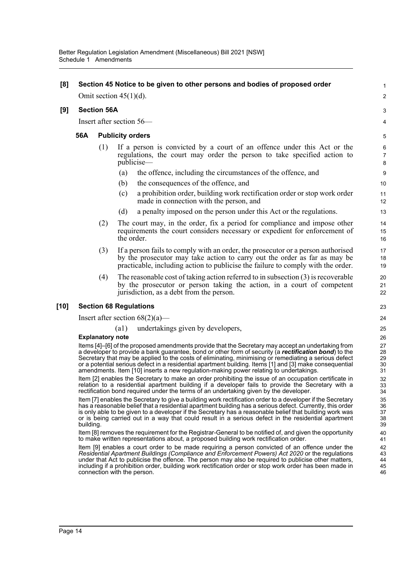### **[8] Section 45 Notice to be given to other persons and bodies of proposed order** Omit section 45(1)(d). **[9] Section 56A** Insert after section 56— **56A Publicity orders** (1) If a person is convicted by a court of an offence under this Act or the regulations, the court may order the person to take specified action to

- (a) the offence, including the circumstances of the offence, and
- (b) the consequences of the offence, and
- (c) a prohibition order, building work rectification order or stop work order made in connection with the person, and

1  $\mathcal{L}$ 

3 4

- (d) a penalty imposed on the person under this Act or the regulations.
- (2) The court may, in the order, fix a period for compliance and impose other requirements the court considers necessary or expedient for enforcement of the order.
- (3) If a person fails to comply with an order, the prosecutor or a person authorised by the prosecutor may take action to carry out the order as far as may be practicable, including action to publicise the failure to comply with the order.
- (4) The reasonable cost of taking action referred to in subsection (3) is recoverable by the prosecutor or person taking the action, in a court of competent jurisdiction, as a debt from the person.

### **[10] Section 68 Regulations**

Insert after section  $68(2)(a)$ —

publicise—

(a1) undertakings given by developers,

#### **Explanatory note**

Items [4]–[6] of the proposed amendments provide that the Secretary may accept an undertaking from a developer to provide a bank guarantee, bond or other form of security (a *rectification bond*) to the Secretary that may be applied to the costs of eliminating, minimising or remediating a serious defect or a potential serious defect in a residential apartment building. Items [1] and [3] make consequential amendments. Item [10] inserts a new regulation-making power relating to undertakings.

Item [2] enables the Secretary to make an order prohibiting the issue of an occupation certificate in relation to a residential apartment building if a developer fails to provide the Secretary with a rectification bond required under the terms of an undertaking given by the developer.

Item [7] enables the Secretary to give a building work rectification order to a developer if the Secretary has a reasonable belief that a residential apartment building has a serious defect. Currently, this order is only able to be given to a developer if the Secretary has a reasonable belief that building work was or is being carried out in a way that could result in a serious defect in the residential apartment building.

Item [8] removes the requirement for the Registrar-General to be notified of, and given the opportunity to make written representations about, a proposed building work rectification order.

Item [9] enables a court order to be made requiring a person convicted of an offence under the *Residential Apartment Buildings (Compliance and Enforcement Powers) Act 2020* or the regulations under that Act to publicise the offence. The person may also be required to publicise other matters, including if a prohibition order, building work rectification order or stop work order has been made in connection with the person.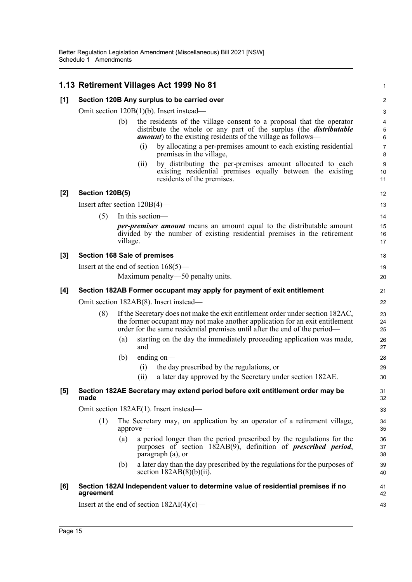|       |                                                                                        |                                                                                       | 1.13 Retirement Villages Act 1999 No 81                                                                                                                                                                                                      | 1                         |  |  |  |
|-------|----------------------------------------------------------------------------------------|---------------------------------------------------------------------------------------|----------------------------------------------------------------------------------------------------------------------------------------------------------------------------------------------------------------------------------------------|---------------------------|--|--|--|
| [1]   | Section 120B Any surplus to be carried over                                            |                                                                                       |                                                                                                                                                                                                                                              |                           |  |  |  |
|       | Omit section $120B(1)(b)$ . Insert instead—                                            |                                                                                       |                                                                                                                                                                                                                                              |                           |  |  |  |
|       |                                                                                        | (b)                                                                                   | the residents of the village consent to a proposal that the operator<br>distribute the whole or any part of the surplus (the <i>distributable</i><br><i>amount</i> ) to the existing residents of the village as follows—                    | 4<br>5<br>$6\phantom{1}6$ |  |  |  |
|       |                                                                                        |                                                                                       | by allocating a per-premises amount to each existing residential<br>(i)<br>premises in the village,                                                                                                                                          | $\boldsymbol{7}$<br>8     |  |  |  |
|       |                                                                                        |                                                                                       | by distributing the per-premises amount allocated to each<br>(i)<br>existing residential premises equally between the existing<br>residents of the premises.                                                                                 | 9<br>10<br>11             |  |  |  |
| [2]   | <b>Section 120B(5)</b><br>12                                                           |                                                                                       |                                                                                                                                                                                                                                              |                           |  |  |  |
|       | Insert after section $120B(4)$ —                                                       |                                                                                       |                                                                                                                                                                                                                                              |                           |  |  |  |
|       | (5)<br>In this section—                                                                |                                                                                       |                                                                                                                                                                                                                                              |                           |  |  |  |
|       |                                                                                        | village.                                                                              | <i>per-premises amount</i> means an amount equal to the distributable amount<br>divided by the number of existing residential premises in the retirement                                                                                     | 15<br>16<br>17            |  |  |  |
| $[3]$ |                                                                                        |                                                                                       | <b>Section 168 Sale of premises</b>                                                                                                                                                                                                          | 18                        |  |  |  |
|       | Insert at the end of section $168(5)$ —                                                |                                                                                       |                                                                                                                                                                                                                                              |                           |  |  |  |
|       |                                                                                        |                                                                                       | Maximum penalty-50 penalty units.                                                                                                                                                                                                            | 20                        |  |  |  |
| [4]   | Section 182AB Former occupant may apply for payment of exit entitlement                |                                                                                       |                                                                                                                                                                                                                                              |                           |  |  |  |
|       | Omit section 182AB(8). Insert instead—                                                 |                                                                                       |                                                                                                                                                                                                                                              |                           |  |  |  |
|       | (8)                                                                                    |                                                                                       | If the Secretary does not make the exit entitlement order under section 182AC,<br>the former occupant may not make another application for an exit entitlement<br>order for the same residential premises until after the end of the period— | 23<br>24<br>25            |  |  |  |
|       |                                                                                        | (a)                                                                                   | starting on the day the immediately proceeding application was made,<br>and                                                                                                                                                                  | 26<br>27                  |  |  |  |
|       |                                                                                        | (b)                                                                                   | ending on-                                                                                                                                                                                                                                   | 28                        |  |  |  |
|       |                                                                                        |                                                                                       | the day prescribed by the regulations, or<br>(i)                                                                                                                                                                                             | 29                        |  |  |  |
|       |                                                                                        |                                                                                       | a later day approved by the Secretary under section 182AE.<br>(ii)                                                                                                                                                                           | 30                        |  |  |  |
| [5]   | Section 182AE Secretary may extend period before exit entitlement order may be<br>made |                                                                                       |                                                                                                                                                                                                                                              |                           |  |  |  |
|       | Omit section 182AE(1). Insert instead—                                                 |                                                                                       |                                                                                                                                                                                                                                              |                           |  |  |  |
|       | (1)                                                                                    | The Secretary may, on application by an operator of a retirement village,<br>approve- |                                                                                                                                                                                                                                              |                           |  |  |  |
|       |                                                                                        | (a)                                                                                   | a period longer than the period prescribed by the regulations for the<br>purposes of section 182AB(9), definition of <i>prescribed period</i> ,<br>paragraph (a), or                                                                         | 36<br>37<br>38            |  |  |  |
|       |                                                                                        | (b)                                                                                   | a later day than the day prescribed by the regulations for the purposes of<br>section $182AB(8)(b)(ii)$ .                                                                                                                                    | 39<br>40                  |  |  |  |
| [6]   | agreement                                                                              |                                                                                       | Section 182AI Independent valuer to determine value of residential premises if no                                                                                                                                                            | 41<br>42                  |  |  |  |
|       | Insert at the end of section $182AI(4)(c)$ —                                           |                                                                                       |                                                                                                                                                                                                                                              |                           |  |  |  |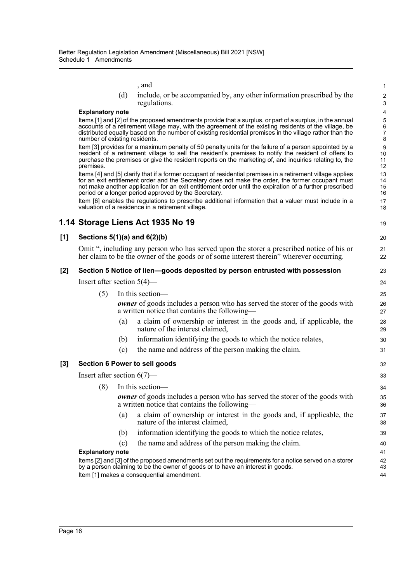|     |                                                                                                                                                                                                                                                                                                                                                                                     |                                                                                                                                             | , and                                                                                                                                                     | 1                            |  |  |  |  |  |
|-----|-------------------------------------------------------------------------------------------------------------------------------------------------------------------------------------------------------------------------------------------------------------------------------------------------------------------------------------------------------------------------------------|---------------------------------------------------------------------------------------------------------------------------------------------|-----------------------------------------------------------------------------------------------------------------------------------------------------------|------------------------------|--|--|--|--|--|
|     |                                                                                                                                                                                                                                                                                                                                                                                     | (d)                                                                                                                                         | include, or be accompanied by, any other information prescribed by the<br>regulations.                                                                    | $\overline{\mathbf{c}}$<br>3 |  |  |  |  |  |
|     | <b>Explanatory note</b>                                                                                                                                                                                                                                                                                                                                                             |                                                                                                                                             |                                                                                                                                                           |                              |  |  |  |  |  |
|     | Items [1] and [2] of the proposed amendments provide that a surplus, or part of a surplus, in the annual<br>accounts of a retirement village may, with the agreement of the existing residents of the village, be<br>distributed equally based on the number of existing residential premises in the village rather than the<br>number of existing residents.                       |                                                                                                                                             |                                                                                                                                                           |                              |  |  |  |  |  |
|     | Item [3] provides for a maximum penalty of 50 penalty units for the failure of a person appointed by a<br>resident of a retirement village to sell the resident's premises to notify the resident of offers to<br>purchase the premises or give the resident reports on the marketing of, and inquiries relating to, the<br>premises.                                               |                                                                                                                                             |                                                                                                                                                           |                              |  |  |  |  |  |
|     | Items [4] and [5] clarify that if a former occupant of residential premises in a retirement village applies<br>for an exit entitlement order and the Secretary does not make the order, the former occupant must<br>not make another application for an exit entitlement order until the expiration of a further prescribed<br>period or a longer period approved by the Secretary. |                                                                                                                                             |                                                                                                                                                           |                              |  |  |  |  |  |
|     |                                                                                                                                                                                                                                                                                                                                                                                     |                                                                                                                                             | Item [6] enables the regulations to prescribe additional information that a valuer must include in a<br>valuation of a residence in a retirement village. | 17<br>18                     |  |  |  |  |  |
|     |                                                                                                                                                                                                                                                                                                                                                                                     |                                                                                                                                             | 1.14 Storage Liens Act 1935 No 19                                                                                                                         | 19                           |  |  |  |  |  |
| [1] | Sections $5(1)(a)$ and $6(2)(b)$                                                                                                                                                                                                                                                                                                                                                    |                                                                                                                                             |                                                                                                                                                           |                              |  |  |  |  |  |
|     | Omit ", including any person who has served upon the storer a prescribed notice of his or<br>her claim to be the owner of the goods or of some interest therein" wherever occurring.                                                                                                                                                                                                |                                                                                                                                             |                                                                                                                                                           |                              |  |  |  |  |  |
| [2] | Section 5 Notice of lien-goods deposited by person entrusted with possession                                                                                                                                                                                                                                                                                                        |                                                                                                                                             |                                                                                                                                                           |                              |  |  |  |  |  |
|     | Insert after section $5(4)$ —                                                                                                                                                                                                                                                                                                                                                       |                                                                                                                                             |                                                                                                                                                           |                              |  |  |  |  |  |
|     | (5)                                                                                                                                                                                                                                                                                                                                                                                 |                                                                                                                                             | In this section-                                                                                                                                          | 25                           |  |  |  |  |  |
|     |                                                                                                                                                                                                                                                                                                                                                                                     | <b><i>owner</i></b> of goods includes a person who has served the storer of the goods with<br>a written notice that contains the following— |                                                                                                                                                           |                              |  |  |  |  |  |
|     |                                                                                                                                                                                                                                                                                                                                                                                     | (a)                                                                                                                                         | a claim of ownership or interest in the goods and, if applicable, the<br>nature of the interest claimed,                                                  | 28<br>29                     |  |  |  |  |  |
|     |                                                                                                                                                                                                                                                                                                                                                                                     | (b)                                                                                                                                         | information identifying the goods to which the notice relates,                                                                                            | 30                           |  |  |  |  |  |
|     |                                                                                                                                                                                                                                                                                                                                                                                     | (c)                                                                                                                                         | the name and address of the person making the claim.                                                                                                      | 31                           |  |  |  |  |  |
| [3] | Section 6 Power to sell goods<br>32                                                                                                                                                                                                                                                                                                                                                 |                                                                                                                                             |                                                                                                                                                           |                              |  |  |  |  |  |
|     | Insert after section $6(7)$ —                                                                                                                                                                                                                                                                                                                                                       |                                                                                                                                             |                                                                                                                                                           |                              |  |  |  |  |  |
|     |                                                                                                                                                                                                                                                                                                                                                                                     |                                                                                                                                             | (8) In this section-                                                                                                                                      | 34                           |  |  |  |  |  |
|     |                                                                                                                                                                                                                                                                                                                                                                                     |                                                                                                                                             | <b><i>owner</i></b> of goods includes a person who has served the storer of the goods with<br>a written notice that contains the following-               | 35<br>36                     |  |  |  |  |  |
|     |                                                                                                                                                                                                                                                                                                                                                                                     | (a)                                                                                                                                         | a claim of ownership or interest in the goods and, if applicable, the<br>nature of the interest claimed,                                                  | 37<br>38                     |  |  |  |  |  |
|     |                                                                                                                                                                                                                                                                                                                                                                                     | (b)                                                                                                                                         | information identifying the goods to which the notice relates,                                                                                            | 39                           |  |  |  |  |  |
|     |                                                                                                                                                                                                                                                                                                                                                                                     | (c)                                                                                                                                         | the name and address of the person making the claim.                                                                                                      | 40                           |  |  |  |  |  |
|     | <b>Explanatory note</b>                                                                                                                                                                                                                                                                                                                                                             |                                                                                                                                             |                                                                                                                                                           |                              |  |  |  |  |  |
|     | Items [2] and [3] of the proposed amendments set out the requirements for a notice served on a storer<br>42<br>by a person claiming to be the owner of goods or to have an interest in goods.<br>43                                                                                                                                                                                 |                                                                                                                                             |                                                                                                                                                           |                              |  |  |  |  |  |

44

Item [1] makes a consequential amendment.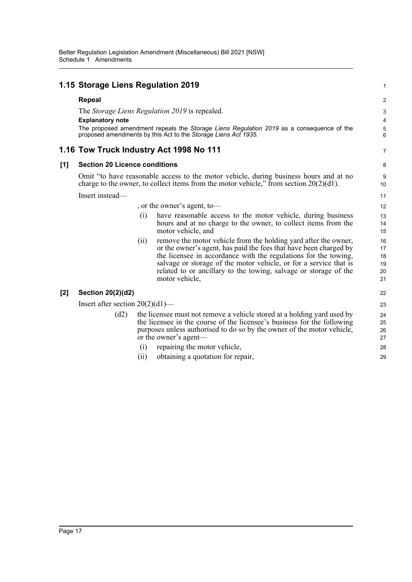#### **1.15 Storage Liens Regulation 2019 Repeal** The *Storage Liens Regulation 2019* is repealed. **Explanatory note** The proposed amendment repeals the *Storage Liens Regulation 2019* as a consequence of the proposed amendments by this Act to the *Storage Liens Act 1935*. **1.16 Tow Truck Industry Act 1998 No 111 [1] Section 20 Licence conditions** Omit "to have reasonable access to the motor vehicle, during business hours and at no charge to the owner, to collect items from the motor vehicle," from section  $20(2)(d1)$ . Insert instead— , or the owner's agent, to— (i) have reasonable access to the motor vehicle, during business hours and at no charge to the owner, to collect items from the motor vehicle, and (ii) remove the motor vehicle from the holding yard after the owner, or the owner's agent, has paid the fees that have been charged by the licensee in accordance with the regulations for the towing, salvage or storage of the motor vehicle, or for a service that is related to or ancillary to the towing, salvage or storage of the motor vehicle, **[2] Section 20(2)(d2)** Insert after section 20(2)(d1)— (d2) the licensee must not remove a vehicle stored at a holding yard used by the licensee in the course of the licensee's business for the following purposes unless authorised to do so by the owner of the motor vehicle, or the owner's agent— (i) repairing the motor vehicle, (ii) obtaining a quotation for repair, 1 2 3 4 5 6 7 8 9 10 11 12 13 14 15 16 17 18 19 20 21 22 23 24 25 26 27 28 29